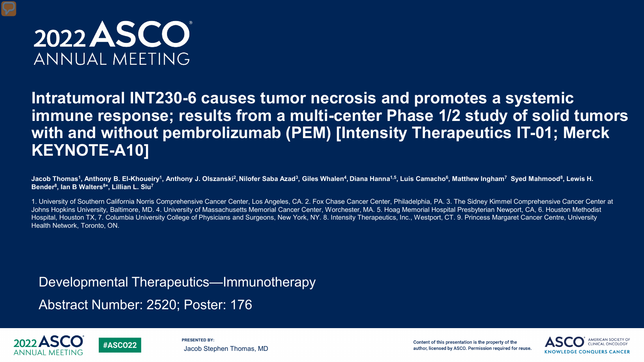

## **Intratumoral INT230-6 causes tumor necrosis and promotes a systemic immune response; results from a multi-center Phase 1/2 study of solid tumors with and without pembrolizumab (PEM) [Intensity Therapeutics IT-01; Merck KEYNOTE-A10]**

Jacob Thomas<sup>1</sup>, Anthony B. El-Khoueiry<sup>1</sup>, Anthony J. Olszanski<sup>2</sup>, Nilofer Saba Azad<sup>3</sup>, Giles Whalen<sup>4</sup>, Diana Hanna<sup>1,5</sup>, Luis Camacho<sup>6</sup>, Matthew Ingham<sup>7</sup> Syed Mahmood<sup>8</sup>, Lewis H. **Bender8, Ian B Walters8\*, Lillian L. Siu7** 

1. University of Southern California Norris Comprehensive Cancer Center, Los Angeles, CA. 2. Fox Chase Cancer Center, Philadelphia, PA. 3. The Sidney Kimmel Comprehensive Cancer Center at Johns Hopkins University, Baltimore, MD. 4. University of Massachusetts Memorial Cancer Center, Worchester, MA. 5. Hoag Memorial Hospital Presbyterian Newport, CA, 6. Houston Methodist Hospital, Houston TX, 7. Columbia University College of Physicians and Surgeons, New York, NY. 8. Intensity Therapeutics, Inc., Westport, CT. 9. Princess Margaret Cancer Centre, University Health Network, Toronto, ON.

Developmental Therapeutics—Immunotherapy

Abstract Number: 2520; Poster: 176

**#ASCO22** 





Content of this presentation is the property of the author, licensed by ASCO. Permission required for reuse.

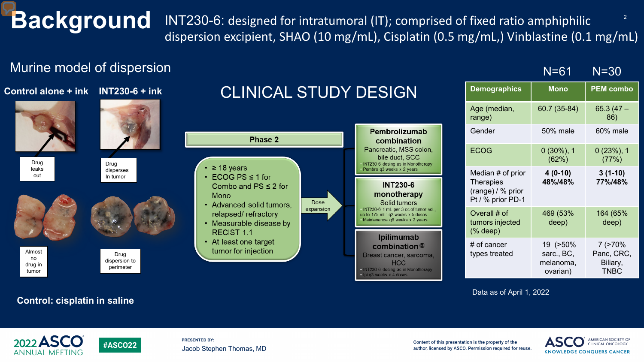**Background** INT230-6: designed for intratumoral (IT); comprised of fixed ratio amphiphilic <sup>2</sup> dispersion excipient, SHAO (10 mg/mL), Cisplatin (0.5 mg/mL,) Vinblastine (0.1 mg/mL)

## Murine model of dispersion



### **Control: cisplatin in saline**

**#ASCO22** 

Data as of April 1, 2022



**PRESENTED BY:** Jacob Stephen Thomas, MD

Content of this presentation is the property of the author, licensed by ASCO. Permission required for reuse.



N=61 N=30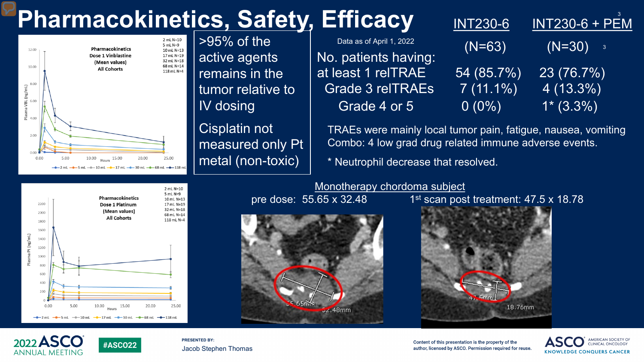# **Pharmacokinetics, Safety, Efficacy**



Pharmacokinetics

Dose 1 Platinum

(Mean values)

**All Cohorts** 

15.00

 $-$ -17 mL  $-$ -30 mL  $-$ -68 mL

**#ASCO22** 

20.00

 $\overline{>}95\%$  of the active agents remains in the tumor relative to IV dosing

Cisplatin not measured only Pt metal (non-toxic)

| , EIIIcacy               | <u>IN</u> T230-6 | <b>INT230-6 + PEM</b>                  |
|--------------------------|------------------|----------------------------------------|
| Data as of April 1, 2022 | $(N=63)$         | $(N=30)$<br>$\overline{\phantom{a}}$ 3 |
| No. patients having:     |                  |                                        |
| at least 1 reITRAE       | 54 (85.7%)       | 23 (76.7%)                             |
| <b>Grade 3 reITRAEs</b>  | $7(11.1\%)$      | $4(13.3\%)$                            |
| Grade 4 or 5             | $0(0\%)$         | $1*(3.3\%)$                            |
|                          |                  |                                        |

TRAEs were mainly local tumor pain, fatigue, nausea, vomiting Combo: 4 low grad drug related immune adverse events.

\* Neutrophil decrease that resolved.

Monotherapy chordoma subject



pre dose:  $55.65 \times 32.48$  1st scan post treatment:  $47.5 \times 18.78$ 





5.00

 $-0 - 10$  mL

10.00

Hours

2200

2000

1800 1600

1400 1200 1000

> > $0.00$

na Pt (ng/mL)

Plas

**PRESENTED BY:** Jacob Stephen Thomas

2 mL N=10 5 mL N=9

10 mL N=13

17 mL N=19

32 mL N=18

68 mL N=14

118 mL N=4

25.00

 $-$ 0 - 118 ml

Content of this presentation is the property of the author, licensed by ASCO. Permission required for reuse.



3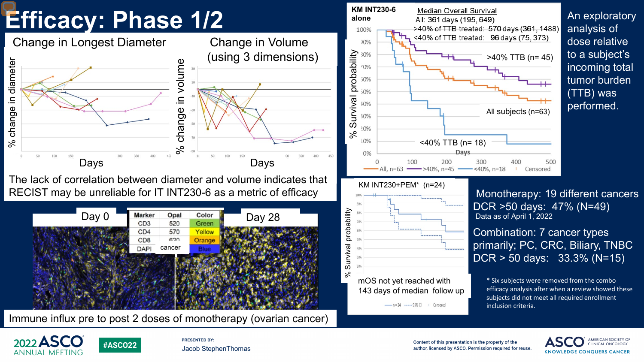

The lack of correlation between diameter and volume indicates that RECIST may be unreliable for IT INT230-6 as a metric of efficacy



Immune influx pre to post 2 doses of monotherapy (ovarian cancer)





An exploratory analysis of dose relative to a subject's incoming total tumor burden (TTB) was performed.

Monotherapy: 19 different cancers DCR >50 days: 47% (N=49) Data as of April 1, 2022

Combination: 7 cancer types primarily; PC, CRC, Biliary, TNBC DCR > 50 days: 33.3% (N=15)

\* Six subjects were removed from the combo efficacy analysis after when a review showed these subjects did not meet all required enrollment inclusion criteria.



**PRESENTED BY:** Jacob StephenThomas

Content of this presentation is the property of the author, licensed by ASCO. Permission required for reuse.